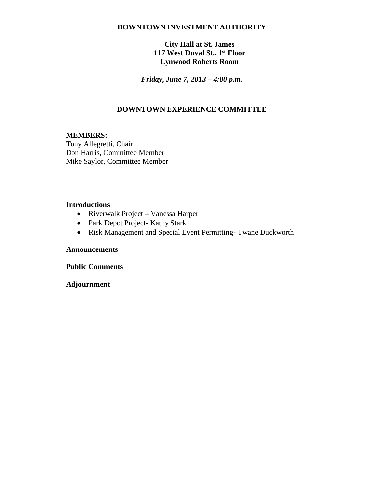#### **DOWNTOWN INVESTMENT AUTHORITY**

### **City Hall at St. James 117 West Duval St., 1st Floor Lynwood Roberts Room**

*Friday, June 7, 2013 – 4:00 p.m.*

## **DOWNTOWN EXPERIENCE COMMITTEE**

#### **MEMBERS:**

Tony Allegretti, Chair Don Harris, Committee Member Mike Saylor, Committee Member

#### **Introductions**

- Riverwalk Project Vanessa Harper
- Park Depot Project- Kathy Stark
- Risk Management and Special Event Permitting- Twane Duckworth

#### **Announcements**

**Public Comments**

**Adjournment**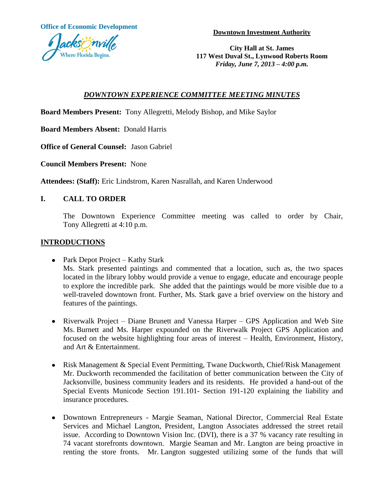**Office of Economic Development**

**Downtown Investment Authority**



**City Hall at St. James 117 West Duval St., Lynwood Roberts Room** *Friday, June 7, 2013 – 4:00 p.m.*

# *DOWNTOWN EXPERIENCE COMMITTEE MEETING MINUTES*

**Board Members Present:** Tony Allegretti, Melody Bishop, and Mike Saylor

**Board Members Absent:** Donald Harris

**Office of General Counsel:** Jason Gabriel

**Council Members Present:** None

**Attendees: (Staff):** Eric Lindstrom, Karen Nasrallah, and Karen Underwood

# **I. CALL TO ORDER**

The Downtown Experience Committee meeting was called to order by Chair, Tony Allegretti at 4:10 p.m.

# **INTRODUCTIONS**

- Park Depot Project Kathy Stark Ms. Stark presented paintings and commented that a location, such as, the two spaces located in the library lobby would provide a venue to engage, educate and encourage people to explore the incredible park. She added that the paintings would be more visible due to a well-traveled downtown front. Further, Ms. Stark gave a brief overview on the history and features of the paintings.
- Riverwalk Project Diane Brunett and Vanessa Harper GPS Application and Web Site Ms. Burnett and Ms. Harper expounded on the Riverwalk Project GPS Application and focused on the website highlighting four areas of interest – Health, Environment, History, and Art & Entertainment.
- Risk Management & Special Event Permitting, Twane Duckworth, Chief/Risk Management Mr. Duckworth recommended the facilitation of better communication between the City of Jacksonville, business community leaders and its residents. He provided a hand-out of the Special Events Municode Section 191.101- Section 191-120 explaining the liability and insurance procedures.
- Downtown Entrepreneurs Margie Seaman, National Director, Commercial Real Estate Services and Michael Langton, President, Langton Associates addressed the street retail issue. According to Downtown Vision Inc. (DVI), there is a 37 % vacancy rate resulting in 74 vacant storefronts downtown. Margie Seaman and Mr. Langton are being proactive in renting the store fronts. Mr. Langton suggested utilizing some of the funds that will